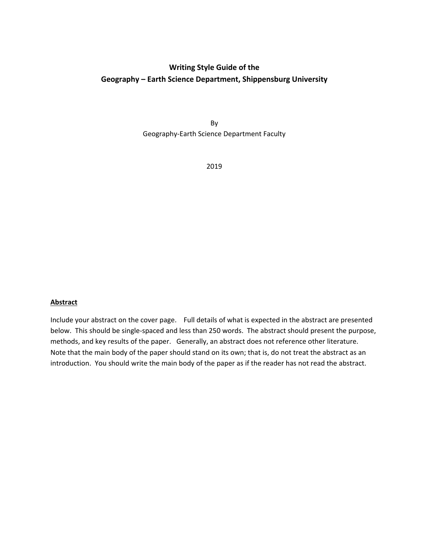# **Writing Style Guide of the Geography – Earth Science Department, Shippensburg University**

By Geography‐Earth Science Department Faculty

2019

## **Abstract**

Include your abstract on the cover page. Full details of what is expected in the abstract are presented below. This should be single‐spaced and less than 250 words. The abstract should present the purpose, methods, and key results of the paper. Generally, an abstract does not reference other literature. Note that the main body of the paper should stand on its own; that is, do not treat the abstract as an introduction. You should write the main body of the paper as if the reader has not read the abstract.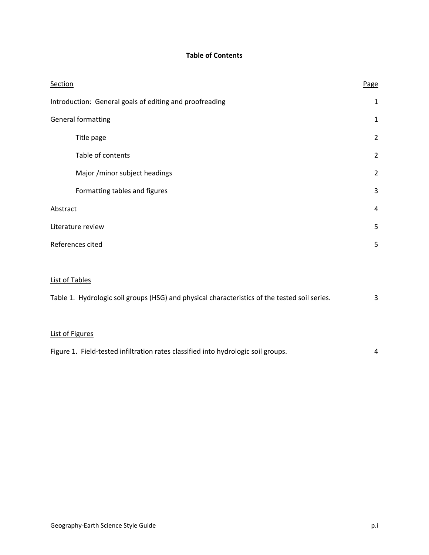# **Table of Contents**

| <b>Section</b>                                          | Page           |
|---------------------------------------------------------|----------------|
| Introduction: General goals of editing and proofreading | $\mathbf 1$    |
| General formatting                                      |                |
| Title page                                              | $\overline{2}$ |
| Table of contents                                       | $\overline{2}$ |
| Major /minor subject headings                           | $\overline{2}$ |
| Formatting tables and figures                           | 3              |
| Abstract                                                |                |
| Literature review                                       |                |
| References cited                                        |                |
|                                                         |                |
|                                                         |                |

#### List of Tables

| Table 1. Hydrologic soil groups (HSG) and physical characteristics of the tested soil series. |  |  |  |  |  |
|-----------------------------------------------------------------------------------------------|--|--|--|--|--|
|                                                                                               |  |  |  |  |  |
| List of Figures                                                                               |  |  |  |  |  |

|  | Figure 1. Field-tested infiltration rates classified into hydrologic soil groups. |  |
|--|-----------------------------------------------------------------------------------|--|
|--|-----------------------------------------------------------------------------------|--|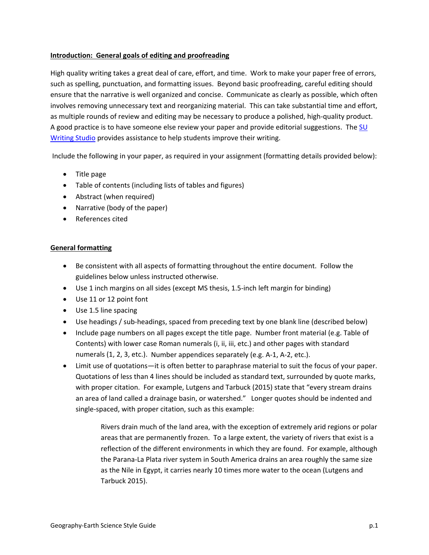## **Introduction: General goals of editing and proofreading**

High quality writing takes a great deal of care, effort, and time. Work to make your paper free of errors, such as spelling, punctuation, and formatting issues. Beyond basic proofreading, careful editing should ensure that the narrative is well organized and concise. Communicate as clearly as possible, which often involves removing unnecessary text and reorganizing material. This can take substantial time and effort, as multiple rounds of review and editing may be necessary to produce a polished, high‐quality product. A good practice is to have someone else review your paper and provide editorial suggestions. The SU Writing Studio provides assistance to help students improve their writing.

Include the following in your paper, as required in your assignment (formatting details provided below):

- Title page
- Table of contents (including lists of tables and figures)
- Abstract (when required)
- Narrative (body of the paper)
- References cited

#### **General formatting**

- Be consistent with all aspects of formatting throughout the entire document. Follow the guidelines below unless instructed otherwise.
- Use 1 inch margins on all sides (except MS thesis, 1.5-inch left margin for binding)
- Use 11 or 12 point font
- Use 1.5 line spacing
- Use headings / sub-headings, spaced from preceding text by one blank line (described below)
- Include page numbers on all pages except the title page. Number front material (e.g. Table of Contents) with lower case Roman numerals (i, ii, iii, etc.) and other pages with standard numerals (1, 2, 3, etc.). Number appendices separately (e.g. A‐1, A‐2, etc.).
- Limit use of quotations—it is often better to paraphrase material to suit the focus of your paper. Quotations of less than 4 lines should be included as standard text, surrounded by quote marks, with proper citation. For example, Lutgens and Tarbuck (2015) state that "every stream drains an area of land called a drainage basin, or watershed." Longer quotes should be indented and single-spaced, with proper citation, such as this example:

Rivers drain much of the land area, with the exception of extremely arid regions or polar areas that are permanently frozen. To a large extent, the variety of rivers that exist is a reflection of the different environments in which they are found. For example, although the Parana‐La Plata river system in South America drains an area roughly the same size as the Nile in Egypt, it carries nearly 10 times more water to the ocean (Lutgens and Tarbuck 2015).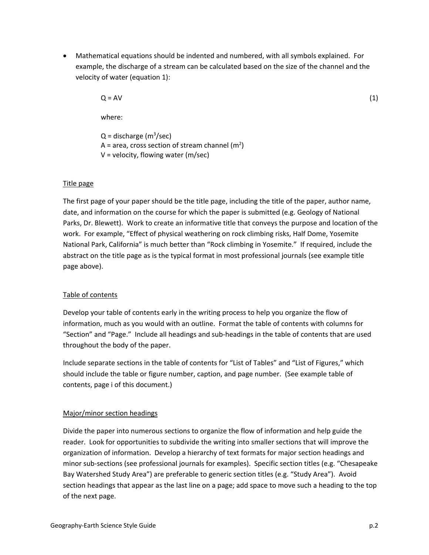Mathematical equations should be indented and numbered, with all symbols explained. For example, the discharge of a stream can be calculated based on the size of the channel and the velocity of water (equation 1):

 $Q = AV$  (1)

where:

Q = discharge (m<sup>3</sup>/sec) A = area, cross section of stream channel (m<sup>2</sup>) V = velocity, flowing water (m/sec)

## Title page

The first page of your paper should be the title page, including the title of the paper, author name, date, and information on the course for which the paper is submitted (e.g. Geology of National Parks, Dr. Blewett). Work to create an informative title that conveys the purpose and location of the work. For example, "Effect of physical weathering on rock climbing risks, Half Dome, Yosemite National Park, California" is much better than "Rock climbing in Yosemite." If required, include the abstract on the title page as is the typical format in most professional journals (see example title page above).

## Table of contents

Develop your table of contents early in the writing process to help you organize the flow of information, much as you would with an outline. Format the table of contents with columns for "Section" and "Page." Include all headings and sub‐headings in the table of contents that are used throughout the body of the paper.

Include separate sections in the table of contents for "List of Tables" and "List of Figures," which should include the table or figure number, caption, and page number. (See example table of contents, page i of this document.)

## Major/minor section headings

Divide the paper into numerous sections to organize the flow of information and help guide the reader. Look for opportunities to subdivide the writing into smaller sections that will improve the organization of information. Develop a hierarchy of text formats for major section headings and minor sub‐sections (see professional journals for examples). Specific section titles (e.g. "Chesapeake Bay Watershed Study Area") are preferable to generic section titles (e.g. "Study Area"). Avoid section headings that appear as the last line on a page; add space to move such a heading to the top of the next page.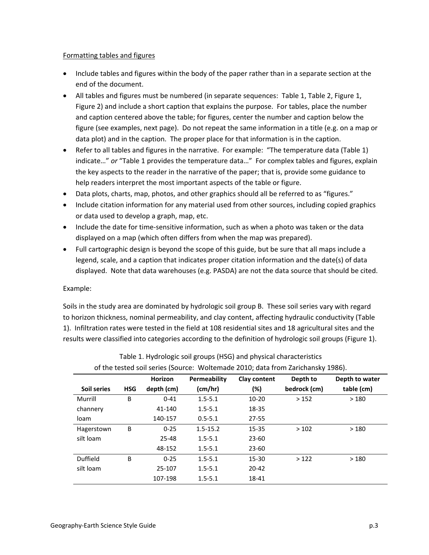## Formatting tables and figures

- Include tables and figures within the body of the paper rather than in a separate section at the end of the document.
- All tables and figures must be numbered (in separate sequences: Table 1, Table 2, Figure 1, Figure 2) and include a short caption that explains the purpose. For tables, place the number and caption centered above the table; for figures, center the number and caption below the figure (see examples, next page). Do not repeat the same information in a title (e.g. on a map or data plot) and in the caption. The proper place for that information is in the caption.
- Refer to all tables and figures in the narrative. For example: "The temperature data (Table 1) indicate…" *or* "Table 1 provides the temperature data…" For complex tables and figures, explain the key aspects to the reader in the narrative of the paper; that is, provide some guidance to help readers interpret the most important aspects of the table or figure.
- Data plots, charts, map, photos, and other graphics should all be referred to as "figures."
- Include citation information for any material used from other sources, including copied graphics or data used to develop a graph, map, etc.
- Include the date for time-sensitive information, such as when a photo was taken or the data displayed on a map (which often differs from when the map was prepared).
- Full cartographic design is beyond the scope of this guide, but be sure that all maps include a legend, scale, and a caption that indicates proper citation information and the date(s) of data displayed. Note that data warehouses (e.g. PASDA) are not the data source that should be cited.

## Example:

Soils in the study area are dominated by hydrologic soil group B. These soil series vary with regard to horizon thickness, nominal permeability, and clay content, affecting hydraulic conductivity (Table 1). Infiltration rates were tested in the field at 108 residential sites and 18 agricultural sites and the results were classified into categories according to the definition of hydrologic soil groups (Figure 1).

|             |            | Horizon    | Permeability | Clay content | Depth to     | Depth to water |  |
|-------------|------------|------------|--------------|--------------|--------------|----------------|--|
| Soil series | <b>HSG</b> | depth (cm) | (cm/hr)      | (%)          | bedrock (cm) | table (cm)     |  |
| Murrill     | B          | $0 - 41$   | $1.5 - 5.1$  | $10 - 20$    | >152         | >180           |  |
| channery    |            | 41-140     | $1.5 - 5.1$  | 18-35        |              |                |  |
| loam        |            | 140-157    | $0.5 - 5.1$  | 27-55        |              |                |  |
| Hagerstown  | B          | $0 - 25$   | $1.5 - 15.2$ | 15-35        | >102         | >180           |  |
| silt loam   |            | 25-48      | $1.5 - 5.1$  | $23 - 60$    |              |                |  |
|             |            | 48-152     | $1.5 - 5.1$  | $23 - 60$    |              |                |  |
| Duffield    | B          | $0 - 25$   | $1.5 - 5.1$  | 15-30        | >122         | >180           |  |
| silt loam   |            | 25-107     | $1.5 - 5.1$  | $20 - 42$    |              |                |  |
|             |            | 107-198    | $1.5 - 5.1$  | 18-41        |              |                |  |

Table 1. Hydrologic soil groups (HSG) and physical characteristics of the tested soil series (Source: Woltemade 2010; data from Zarichansky 1986).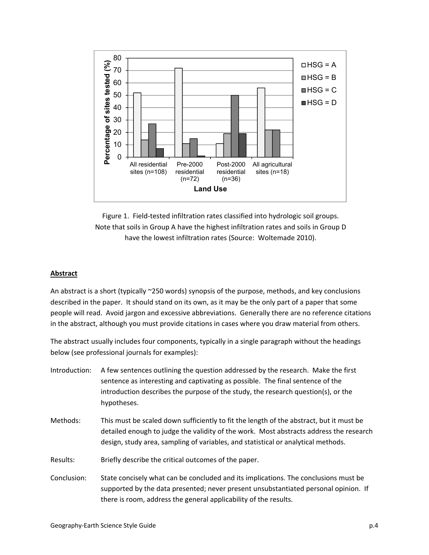

Figure 1. Field-tested infiltration rates classified into hydrologic soil groups. Note that soils in Group A have the highest infiltration rates and soils in Group D have the lowest infiltration rates (Source: Woltemade 2010).

#### **Abstract**

An abstract is a short (typically ~250 words) synopsis of the purpose, methods, and key conclusions described in the paper. It should stand on its own, as it may be the only part of a paper that some people will read. Avoid jargon and excessive abbreviations. Generally there are no reference citations in the abstract, although you must provide citations in cases where you draw material from others.

The abstract usually includes four components, typically in a single paragraph without the headings below (see professional journals for examples):

- Introduction: A few sentences outlining the question addressed by the research. Make the first sentence as interesting and captivating as possible. The final sentence of the introduction describes the purpose of the study, the research question(s), or the hypotheses.
- Methods: This must be scaled down sufficiently to fit the length of the abstract, but it must be detailed enough to judge the validity of the work. Most abstracts address the research design, study area, sampling of variables, and statistical or analytical methods.
- Results: Briefly describe the critical outcomes of the paper.
- Conclusion: State concisely what can be concluded and its implications. The conclusions must be supported by the data presented; never present unsubstantiated personal opinion. If there is room, address the general applicability of the results.